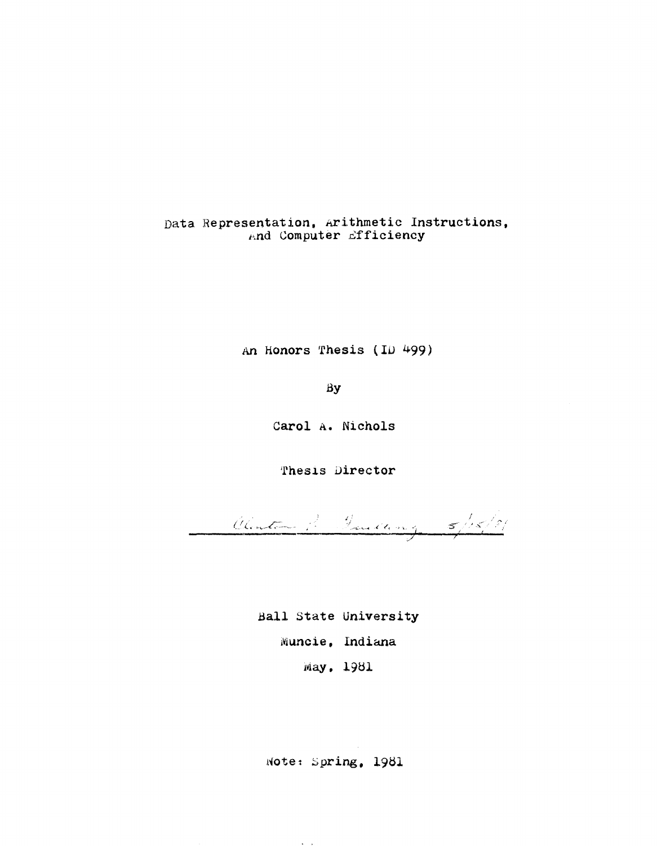Data Representation, Arithmetic Instructions, And Computer Efficiency

An Honors Thesis (ID 499)

By

Carol A. Nichols

Thesis Director

Clenter January 5/15/21

Ball State University Muncie, Indiana May, 1981

Note: Spring, 1981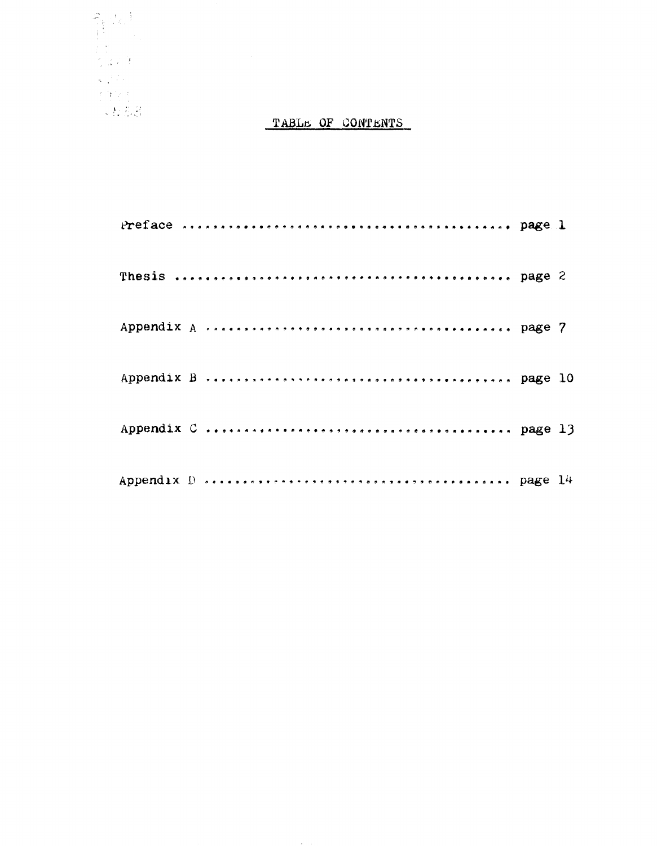

### TABLE OF CONTENTS

**Contractor**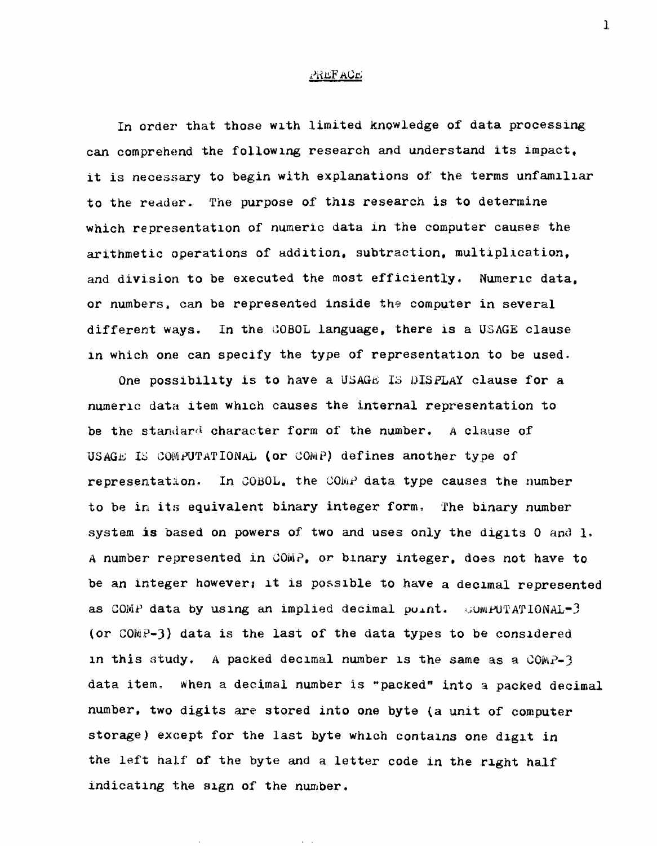#### **PREFACE**

In order that those wlth limited knowledge of data processing can comprehend the following research and understand its impact. it is necessary to begin with explanations of the terms unfamiliar to the reader. The purpose of this research is to determine which representatlon of numeric data 1n the computer causes the arithmetic operations of addition, subtraction, multiplication, and division to be executed the most efficiently. Numerlc data, or numbers, can be represented inside the computer in several different ways. In the COBOL language, there is a USAGE clause in which one can specify the type of representation to be used.

One possibility is to have a USAGE IS DISPLAY clause for a numerlc data item WhlCh causes the internal representation to be the standard character form of the number. A clause of USAGL IS COMPUTATIONAL (or COMP) defines another type of representation. In COBOL, the COMP data type causes the number to be in its equivalent binary integer form. The binary number system is based on powers of two and uses only the digits  $0$  and  $1$ . A number represented in COM?, or binary integer, does not have to' be an integer however; it is possible to have a decimal represented as COMP data by using an implied decimal  $point.$  SUMPUTATIONAL-3 (or  $COMP-3$ ) data is the last of the data types to be considered in this study. A packed decimal number is the same as a  $COMP-3$ data item. When a decimal number is "packed" into a packed decimal number, two digits are stored into one byte (a unit of computer storage) except for the last byte which contains one digit in the left half of the byte and a letter code in the right half indicating the sign of the number.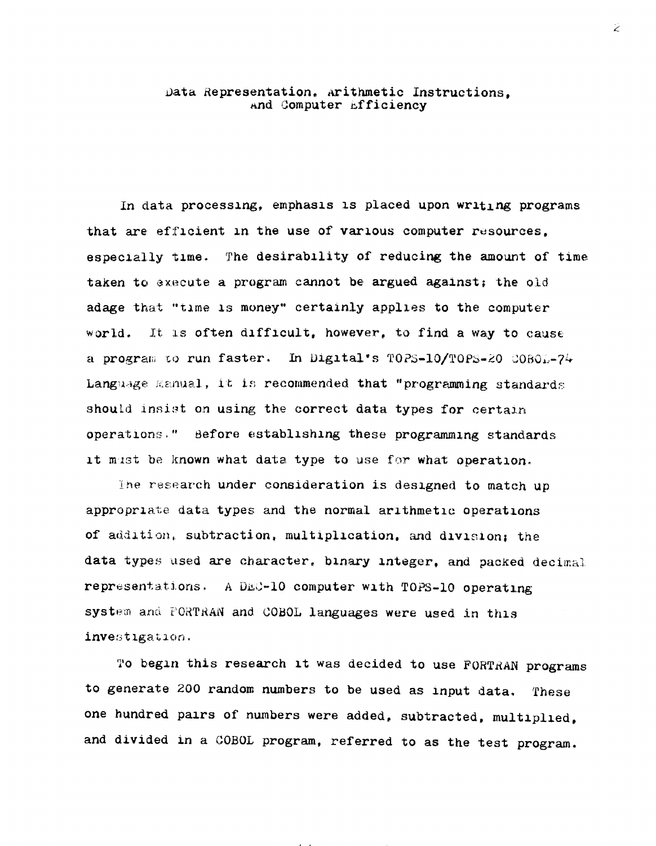#### Data Representation, Arithmetic Instructions, and Computer Efficiency

In data processing, emphasis is placed upon writing programs that are efficient in the use of various computer resources. especially time. The desirability of reducing the amount of time taken to execute a program cannot be argued against; the old adage that "time is money" certainly applies to the computer world. It is often difficult, however, to find a way to cause a program to run faster. In Digital's TOPS-10/TOPS-20 COBOL-74 Language Manual, it is recommended that "programming standards should insist on using the correct data types for certain operations." Before establishing these programming standards it must be known what data type to use for what operation.

The research under consideration is designed to match up appropriate data types and the normal arithmetic operations of addition, subtraction, multiplication, and division; the data types used are character, binary integer, and packed decimal representations. A DEC-10 computer with TOPS-10 operating system and FORTRAN and COBOL languages were used in this investigation.

To begin this research it was decided to use FORTRAN programs to generate 200 random numbers to be used as input data. These one hundred pairs of numbers were added, subtracted, multiplied, and divided in a COBOL program, referred to as the test program.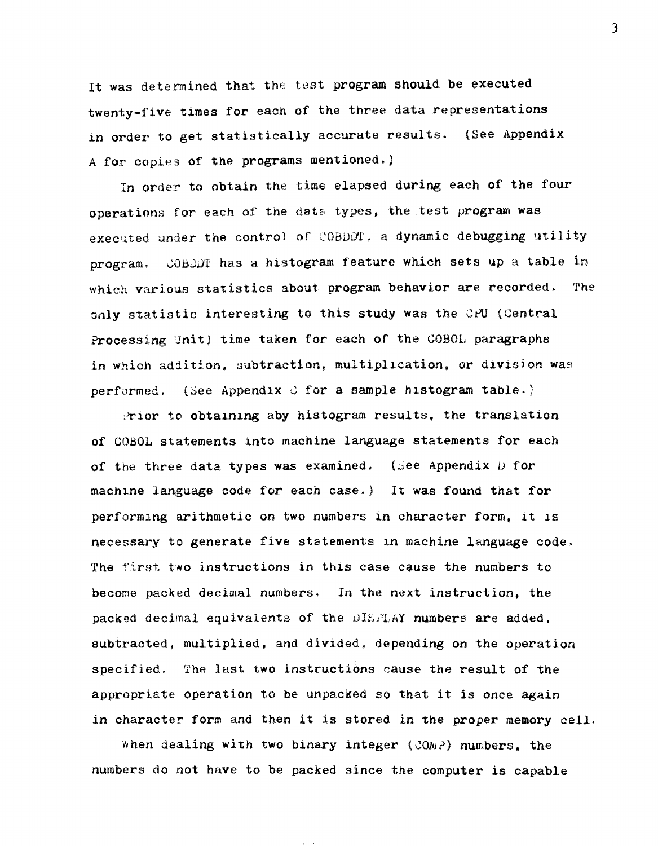It was determined that the test program should be executed twenty-five times for each of the three data representations in order to get statistically accurate results. (See Appendix A for copies of the programs mentioned.)

In order to obtain the time elapsed during each of the four operations for each of the data types, the test program was executed under the control of COBDDT, a dynamic debugging utility program. COBDDT has a histogram feature which sets up a table in which various statistics about program behavior are recorded. The only statistic interesting to this study was the CPU {Central Processing Unit) time taken for each of the COBOL paragraphs in which addition, subtraction, multiplication, or division was performed. (See Appendix C for a sample histogram table.)

 $P$ rior to obtalning aby histogram results, the translation of COBOL statements into machine language statements for each of the three data types was examined. (See Appendix  $D$  for machine language code for each case.) It was found that for performing arithmetic on two numbers in character form, it is necessary to generate five statements in machine language code. The first two instructions in this case cause the numbers to become packed decimal numbers. In the next instruction, the packed decimal equivalents of the DISPLAY numbers are added. subtracted, multiplied, and divided, depending on the operation specified. The last two instructions cause the result of the appropriate operation to be unpacked so that it is once again in character form and then it is stored in the proper memory cell.

When dealing with two binary integer ( $COMP$ ) numbers, the numbers do not have to be packed since the computer is capable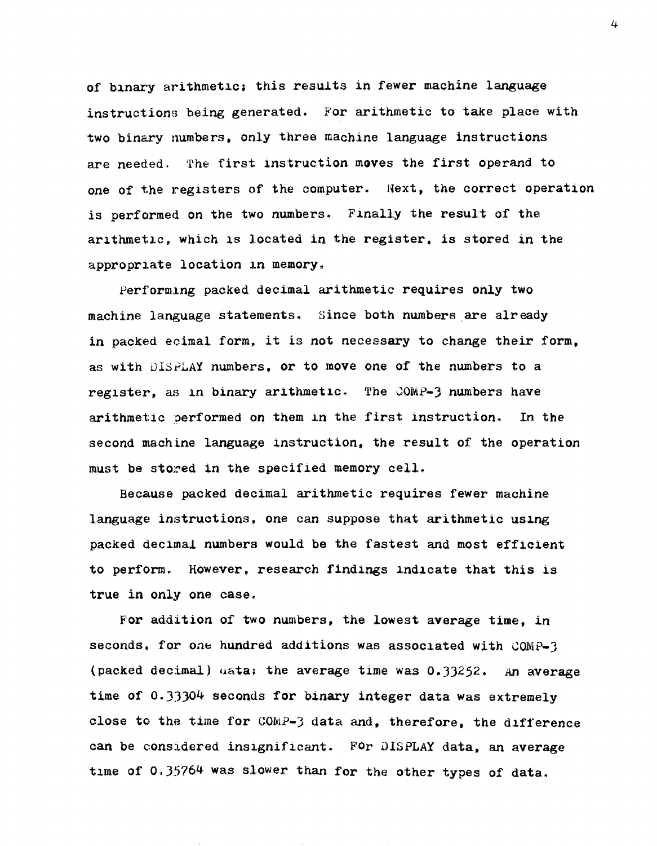of binary arithmetic; this results in fewer machine language instructions being generated. For arithmetic to take place with two binary numbers, only three machine language instructions are needed. The first instruction moves the first operand to one of the registers of the computer. Next, the correct operation is performed on the two numbers. Finally the result of the arithmetic, which is located in the register, is stored in the appropriate location in memory.

Performing packed decimal arithmetic requires only two machine language statements. Since both numbers are already in packed ecimal form, it is not necessary to change their form. as with DISPLAY numbers. or to move one of the numbers to a register, as in binary arithmetic. The COMP-3 numbers have arithmetic performed on them in the first instruction. In the second machine language instruction, the result of the operation must be stored in the specified memory cell.

Because packed decimal arithmetic requires fewer machine language instructions, one can suppose that arithmetic using packed decimal numbers would be the fastest and most efficient to perform. However, research findings indicate that this is true in only one case.

For addition of two numbers, the lowest average time, in seconds. for one hundred additions was associated with COMP-3 (packed decimal) uata: the average time was  $0.33252$ . An average time of 0.33304 seconds for binary integer data was extremely close to the time for COMP-3 data and, therefore, the difference can be considered insignificant. For DISPLAY data, an average time of 0.35764 was slower than for the other types of data.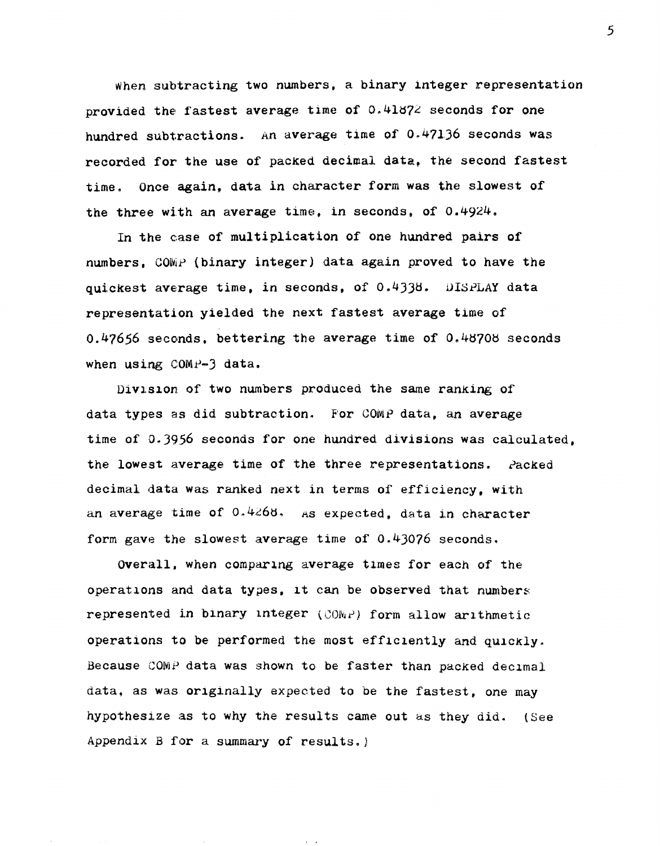when subtracting two numbers, a binary integer representation provided the fastest average time of  $0.41872$  seconds for one hundred subtractions. An average time of 0.47136 seconds was recorded for the use of pacKed decimal data, the second fastest time. Once again, data in character form was the slowest of the three with an average time, in seconds, of  $0.4924$ .

In the case of multiplication of one hundred pairs of numbers, COMP (binary integer) data again proved to have the quickest average time, in seconds, of  $0.4338$ . DISPLAY data representation yielded the next fastest average time of  $0.47656$  seconds. bettering the average time of  $0.46708$  seconds when using  $COMP-3$  data.

Division of two numbers produced the same ranking of data types as did subtraction. For COMP data, an average time of 0.3956 seconds for one hundred divisions was calculated, the lowest average time of the three representations. Packed decimal data was ranked next in terms of efficiency, with an average time of  $0.4268$ . As expected, data in character form gave the slowest average time of 0.4)076 seconds.

Overall, when comparing average times for each of the operatlons and data types, lt can be observed that numbers represented in binary integer ( $\text{COMP}$ ) form allow arithmetic. operations to be performed the most efficiently and quickly. Because COMP data was shown to be faster than packed decimal data, as was originally expected to be the fastest, one may hypothesize as to why the results came out as they did. (See Appendix  $B$  for a summary of results.)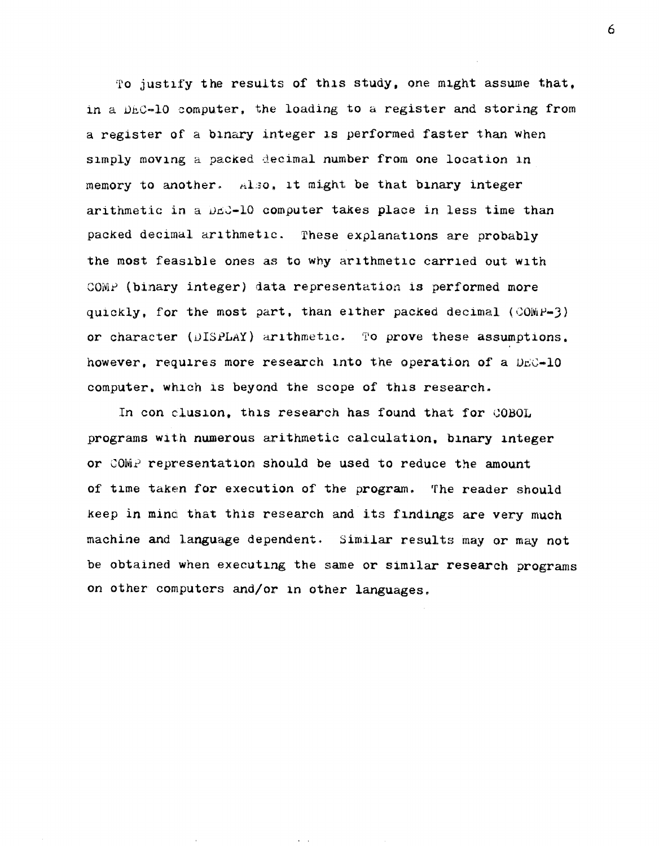To justify the results of this study, one might assume that, in a DEC-10 computer, the loading to a register and storing from a register of a binary integer is performed faster than when simply moving a packed decimal number from one location in memory to another. Also, it might be that binary integer arithmetic in a DEC-10 computer takes place in less time than packed decimal arithmetic. These explanations are probably the most feasible ones as to why arithmetic carried out with COMP (binary integer) data representation is performed more quickly, for the most part, than either packed decimal (COMP-3) or character (DISPLAY) arithmetic. To prove these assumptions. however, requires more research into the operation of a DEC-10 computer, which is beyond the scope of this research.

In con clusion, this research has found that for COBOL programs with numerous arithmetic calculation, binary integer or COMP representation should be used to reduce the amount of time taken for execution of the program. The reader should keep in mind that this research and its findings are very much machine and language dependent. Similar results may or may not be obtained when executing the same or similar research programs on other computers and/or in other languages.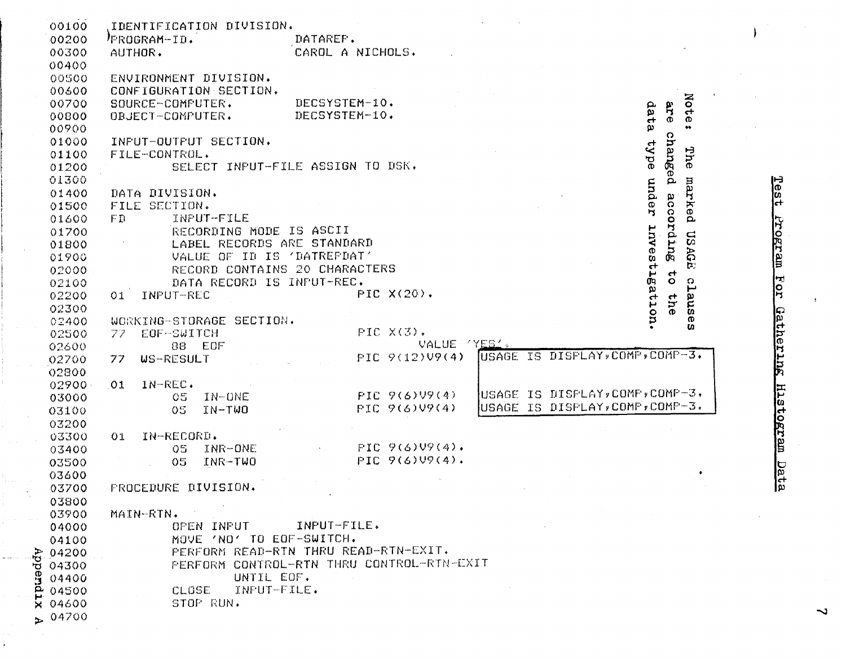| 00100                | IDENTIFICATION DIVISION.   |                                                                             |  |
|----------------------|----------------------------|-----------------------------------------------------------------------------|--|
| 00200                | PROGRAM-ID.                | DATAREF.                                                                    |  |
| 00300                | AUTHOR.                    | CAROL A NICHOLS.                                                            |  |
| 00400                |                            |                                                                             |  |
| 00500                | ENVIRONMENT DIVISION.      |                                                                             |  |
| 00600                | CONFIGURATION SECTION.     |                                                                             |  |
| 00700                | SOURCE-COMPUTER.           | Not<br>DECSYSTEM-10.                                                        |  |
| 00800                | OBJECT-COMPUTER.           | dat<br>are<br>DECSYSTEM-10.                                                 |  |
| 00900                |                            | $\sigma$<br>ω                                                               |  |
| 01000                | INPUT-OUTPUT SECTION.      | O                                                                           |  |
| 01100                | FILE-CONTROL.              |                                                                             |  |
| 01200                |                            | ad A <sub>1</sub><br>hanged<br>.<br>The<br>SELECT INPUT-FILE ASSIGN TO DSK. |  |
|                      |                            |                                                                             |  |
| 01300                |                            | mder<br>marked                                                              |  |
| 01400                | DATA DIVISION.             | according                                                                   |  |
| 01500                | FILE SECTION.              |                                                                             |  |
| 01600                | INPUT-FILE<br>FD.          |                                                                             |  |
| 01700                |                            | RECORDING MODE IS ASCII                                                     |  |
| 01800                |                            | LABEL RECORDS ARE STANDARD                                                  |  |
| 01900                |                            | USAGE<br>VALUE OF ID IS 'DATREPDAT'                                         |  |
| 02000                |                            | nvestlgation<br>RECORD CONTAINS 20 CHARACTERS<br>$\rightarrow$              |  |
| 02100                |                            | claus<br>$\ddot{\mathbf{O}}$<br>DATA RECORD IS INPUT-REC.                   |  |
| 02200                | INPUT-REC<br>01            | PIC X(20).                                                                  |  |
| 02300                |                            | the                                                                         |  |
| 02400                | WORKING-STORAGE SECTION.   | $\pmb{\circ}$                                                               |  |
| 02500                | EOF-SWITCH<br>-77.         | w<br>PIC X(3).                                                              |  |
| 02600                | 88 EOF                     | VALUE 'YES'.                                                                |  |
| 02700                | <b>WS-RESULT</b><br>-77 -  | USAGE IS DISPLAY, COMP, COMP-3.<br>$PIC = 9(12)UP(4)$                       |  |
| 02800                |                            |                                                                             |  |
| $02900 -$            | $IN-REC$ .<br>-01          |                                                                             |  |
| 03000                | 05<br>IN-ONE               | USAGE IS DISPLAY, COMP, COMP-3,<br>FIC 9(6)VI9(4)                           |  |
| 03100                | IN-TWO<br>05               | USAGE IS DISPLAY, COMP, COMP-3.<br>PIC 9(6)V9(4)                            |  |
| 03200                |                            |                                                                             |  |
| 03300                | IN-RECORD.<br>01           |                                                                             |  |
|                      | INR-ONE<br>05 <sub>1</sub> | $PIC = 9(6)U9(4)$ .                                                         |  |
| 03400                |                            | $PIC 9(6)09(4)$ .                                                           |  |
| 03500                | 05<br>INR-TWO              |                                                                             |  |
| 03600                |                            |                                                                             |  |
| 03700                | PROCEDURE DIVISION.        |                                                                             |  |
| 03800                |                            |                                                                             |  |
| 03900                | MAIN-RTN.                  |                                                                             |  |
| 04000                | OPEN INPUT                 | INPUT-FILE.                                                                 |  |
| 04100                |                            | MOVE 'NO' TO EOF-SWITCH.                                                    |  |
| 204200               |                            | PERFORM READ-RTN THRU READ-RTN-EXIT.                                        |  |
| ਾਰੂ 04300            |                            | PERFORM CONTROL-RTN THRU CONTROL-RTN-EXIT                                   |  |
| $\frac{8}{10}$ 04400 |                            | UNTIL EOF.                                                                  |  |
|                      | CLOSE                      | INPUT-FILE.                                                                 |  |
| $\times 04600$       | STOP RUN.                  |                                                                             |  |
| $\ge 04700$          |                            |                                                                             |  |
|                      |                            |                                                                             |  |

ł,

Test Program For Gathering Histogram Data

 $\Lambda$ 

 $\overline{\phantom{0}}$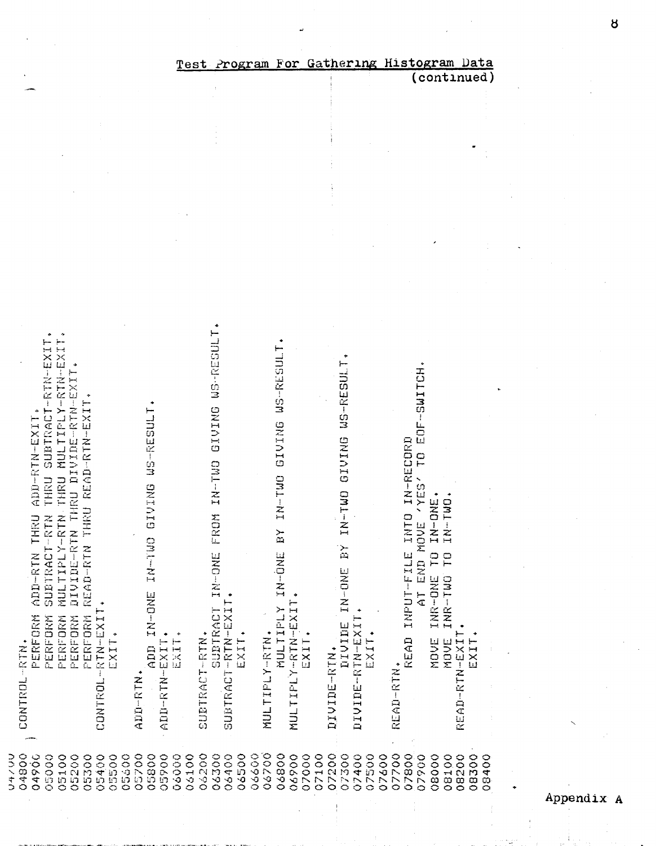|                                                                                        | <u>Test</u>                               | Program                          | For                                       | Gathering                                          | Histogram<br><u>Data</u>                                            |
|----------------------------------------------------------------------------------------|-------------------------------------------|----------------------------------|-------------------------------------------|----------------------------------------------------|---------------------------------------------------------------------|
|                                                                                        |                                           |                                  |                                           |                                                    | (continued)                                                         |
|                                                                                        |                                           |                                  |                                           |                                                    |                                                                     |
|                                                                                        |                                           |                                  |                                           |                                                    |                                                                     |
|                                                                                        |                                           |                                  |                                           |                                                    |                                                                     |
|                                                                                        |                                           |                                  |                                           |                                                    |                                                                     |
|                                                                                        |                                           |                                  |                                           |                                                    |                                                                     |
|                                                                                        |                                           |                                  |                                           |                                                    |                                                                     |
|                                                                                        |                                           |                                  |                                           |                                                    |                                                                     |
|                                                                                        |                                           |                                  |                                           |                                                    |                                                                     |
|                                                                                        |                                           |                                  |                                           |                                                    |                                                                     |
|                                                                                        |                                           |                                  |                                           |                                                    |                                                                     |
|                                                                                        |                                           |                                  |                                           |                                                    |                                                                     |
|                                                                                        |                                           |                                  |                                           |                                                    |                                                                     |
|                                                                                        |                                           | ROM IN-TWO GIVING WS-RESULT      |                                           |                                                    |                                                                     |
| MULTIPLY-RIN THRU MULTIPLY-RIN-EXI<br>SUBTRACT-RTN-EXI                                 |                                           |                                  | WS-RESUL'                                 |                                                    |                                                                     |
|                                                                                        |                                           |                                  |                                           |                                                    |                                                                     |
| DIVIDE-RTN THRU DIVIDE-RTN-EXIT.<br>THRU READ-RIN-EXIT.                                |                                           |                                  |                                           | GIUSBES-RES-FRESHLI                                | EOF-SWITCH                                                          |
| ADD-RTN-EXIT                                                                           | WS-RESULT                                 |                                  | <b>GIVING</b>                             |                                                    |                                                                     |
|                                                                                        |                                           |                                  |                                           |                                                    | NTO IN-RECORD<br>$\frac{1}{2}$                                      |
|                                                                                        |                                           |                                  |                                           |                                                    |                                                                     |
| THRU                                                                                   |                                           |                                  |                                           |                                                    | <b>VYES'</b>                                                        |
|                                                                                        | GIUING                                    |                                  | IN-TWO                                    | IN-TWO                                             | INR-ONE TO IN-ONE.<br>INR-TWO TO IN-TWO.                            |
| <b>HRU</b><br>SUBTRACT-RTN                                                             |                                           |                                  | ≻                                         |                                                    | UT-FILE INTE<br>AT END MOVE                                         |
| $\overline{\phantom{0}}$                                                               |                                           | Ē.                               | $\mathbf{r}$                              | ŘΧ                                                 |                                                                     |
|                                                                                        | DAI-TAT                                   |                                  |                                           |                                                    |                                                                     |
| READ-RTN<br>ADD-RTN                                                                    |                                           | <b>TN-ONE</b><br>$\bullet$       | IN-ONE                                    |                                                    |                                                                     |
|                                                                                        | IN-DNE                                    |                                  |                                           | DIVIDE IN-ONE                                      | INPUT-FILE                                                          |
| PERFORM<br>PERFORM<br>PERFORM<br>PERFORM<br>PERFORM<br>CONTROL-RTN-EXI                 | ۰                                         | SUBTRACT-RTN-EXIT<br>SUBTRACT    | MULTIPLY-RTN-EXIT<br><b>MULTIFLY</b>      | DIVIDE-RTN-EXIT                                    |                                                                     |
| EXIT.                                                                                  | EXIT.                                     | EXIT.                            | EXIT.                                     | EXIT.                                              | READ<br>EXIT.<br>MOVE<br>MOVE                                       |
| CONTROL-RTN.                                                                           | ADD-RTN-EXIT.<br>ADD                      | SUBTRACT-RTN.                    | MULTIPLY-RTN.                             | DIVIDE-RTN.                                        | READ-RTN-EXIT                                                       |
|                                                                                        |                                           |                                  |                                           |                                                    | READ-RIN.                                                           |
|                                                                                        | ADD-RTN                                   |                                  |                                           |                                                    |                                                                     |
|                                                                                        |                                           |                                  |                                           |                                                    |                                                                     |
|                                                                                        |                                           |                                  |                                           |                                                    |                                                                     |
| つうへきり<br>04800<br>04900<br>05600<br>05000<br>05100<br>05200<br>05300<br>05400<br>05500 | 05700<br>05800<br>05900<br>06100<br>06000 | 03200<br>03300<br>06400<br>06500 | 06600<br>06700<br>06800<br>06900<br>07000 | 07100<br>07500<br>07200<br>07300<br>07400<br>07600 | 07700<br>08300<br>07800<br>07900<br>08000<br>08100<br>08200<br>8400 |
|                                                                                        |                                           |                                  |                                           |                                                    | 0                                                                   |

Appendix A

 $\beta$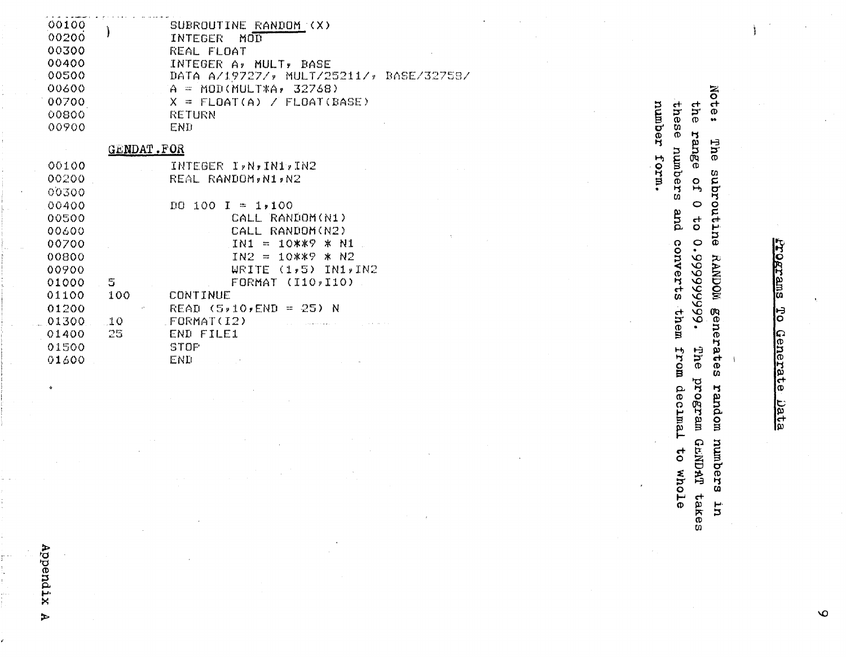| 00100<br>00200<br>00300<br>00400<br>00500<br>00600<br>00700<br>00800<br>00900 |                   | SUBROUTINE RANDOM (X)<br>$MO\overline{\mathbb{D}}$<br>INTEGER<br>REAL FLOAT<br>INTEGER A, MULT, BASE<br>DATA A/19727/, MULT/25211/, BASE/32758/<br>$A = MOD(MULTXA, 32768)$<br>FLOAT(A) / FLOAT(BASE)<br>$X =$<br>number<br><b>RETURN</b><br>END | the<br><br>$\Xi$<br>æ<br>m<br>$\sigma$<br>IJ |
|-------------------------------------------------------------------------------|-------------------|--------------------------------------------------------------------------------------------------------------------------------------------------------------------------------------------------------------------------------------------------|----------------------------------------------|
|                                                                               | <b>GENDAT.FOR</b> |                                                                                                                                                                                                                                                  | g<br>Ű9                                      |
| 00100                                                                         |                   | mrof<br>INTEGER I, N, IN1, IN2                                                                                                                                                                                                                   | qumu                                         |
| 00200                                                                         |                   | REAL RANDOM, N1, N2                                                                                                                                                                                                                              | Ф<br>o                                       |
| 00300                                                                         |                   |                                                                                                                                                                                                                                                  | H<br>$\mathbf{H}$<br>w                       |
| 00400                                                                         |                   | D0 100 I<br>$= 1,100$                                                                                                                                                                                                                            | $\circ$                                      |
| 00500                                                                         |                   | CALL RANDOM(N1)                                                                                                                                                                                                                                  | and<br>$\mathbf{f}$<br>O                     |
| 00600                                                                         |                   | CALL RANDOM(N2)                                                                                                                                                                                                                                  |                                              |
| 00700                                                                         |                   | 10**? * N1<br>IN1<br>$\mathfrak{m}$                                                                                                                                                                                                              | $\circ$<br>conver                            |
| 00800                                                                         |                   | 10**9 * N2<br>$IN2 =$                                                                                                                                                                                                                            | $\mathbf{\Omega}$                            |
| 00900                                                                         |                   | $(1,5)$ IN1, IN2<br>WRITE                                                                                                                                                                                                                        |                                              |
| 01000                                                                         | 5                 | FORMAT (I10, I10)                                                                                                                                                                                                                                | $\mathbf{t}$                                 |
| 01100                                                                         | 100               | CONTINUE                                                                                                                                                                                                                                         | 666666<br><b>SC</b>                          |
| 01200                                                                         |                   | READ $(5,10,00) = 25$ ) N                                                                                                                                                                                                                        | $\overline{\delta}$                          |
| 01300<br>01400                                                                | 10<br>25          | FORMAT(I2)<br>END FILE1                                                                                                                                                                                                                          | them                                         |
| 01500                                                                         |                   | STOP                                                                                                                                                                                                                                             |                                              |
| 01600                                                                         |                   | END                                                                                                                                                                                                                                              | trol<br>Ę                                    |
|                                                                               |                   |                                                                                                                                                                                                                                                  | $\sigma$                                     |

 $\ddot{\Phi}$ 

 $\bar{\lambda}$ 

Ì

Note: The subroutine RANDOM generates random numbers in m decimal to whole program GuNDAT takes

 $\bar{r}$ 

 $\mathbf{A}$ 

 $\infty$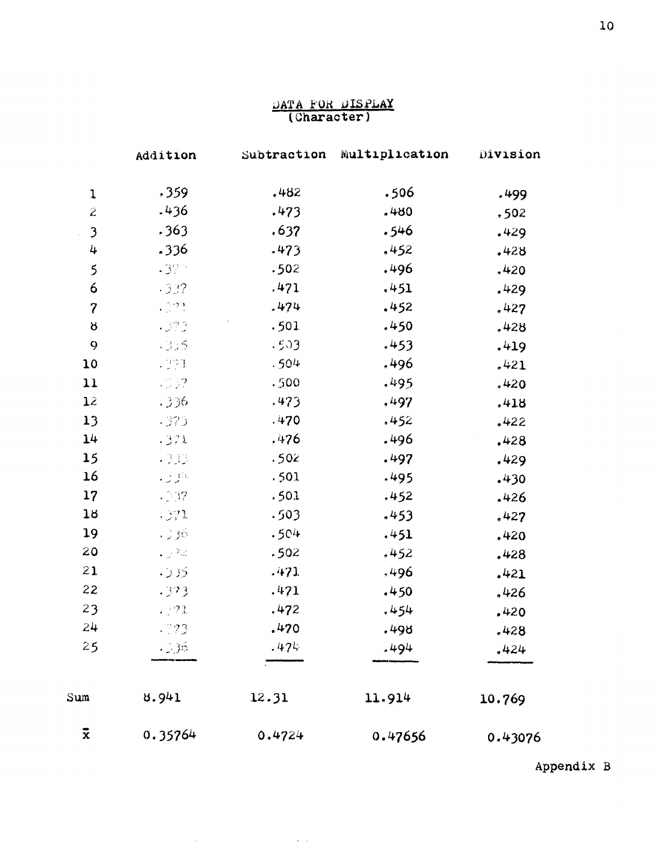# DATA FOR DISPLAY<br>(Character)

|                  | Addition    |        | Subtraction Multiplication | Division |
|------------------|-------------|--------|----------------------------|----------|
| $\mathbf{1}$     | .359        | .482   | .506                       | . 499    |
| $\ddot{z}$       | .436        | .473   | .480                       | .502     |
| $\mathfrak{Z}$   | .363        | .637   | 546ء                       | .429     |
| 4                | .336        | .473   | .452                       | .428     |
| 5                | $-32.3$     | .502   | .496                       | .420     |
| 6                | .337        | .471   | .451                       | .429     |
| $\boldsymbol{7}$ | $\sim 0.23$ | .474   | .452                       | .427     |
| Ⴘ                | .973        | .501   | .450                       | ,428     |
| 9                | .935        | .503   | .453                       | .419     |
| 10               | 1991        | .504   | .496                       | .421     |
| 11               | .337        | .500   | .495                       | .420     |
| 12               | .336        | .473   | ,497                       | .418     |
| 13               | $-373$      | .470   | .452                       | ,422     |
| 14               | .371        | .476   | .496                       | .428     |
| 15               | .333        | .502   | .497                       | .429     |
| 16               | -334        | .501   | .495                       | .430     |
| 17               | .197        | .501   | .452                       | .426     |
| 18               | .371        | .503   | .453                       | ,427     |
| 19               | .336        | .504   | .451                       | .420     |
| 20               | - 72        | .502   | .452                       | .428     |
| 21               | .935        | .471   | .496                       | .421     |
| 22               | .373        | .471   | .450                       | .426     |
| 23               | .921        | .472   | .454                       | .420     |
| 24               | .773        | .470   | .498                       | .428     |
| 25               | $-36$       | .474   | .494.                      | .424     |
| Sum              | 8.941       | 12.31  | 11.914                     | 10.769   |
| $\bar{x}$        | 0.35764     | 0.4724 | 0.47656                    | 0.43076  |

**Contract** 

Appendix B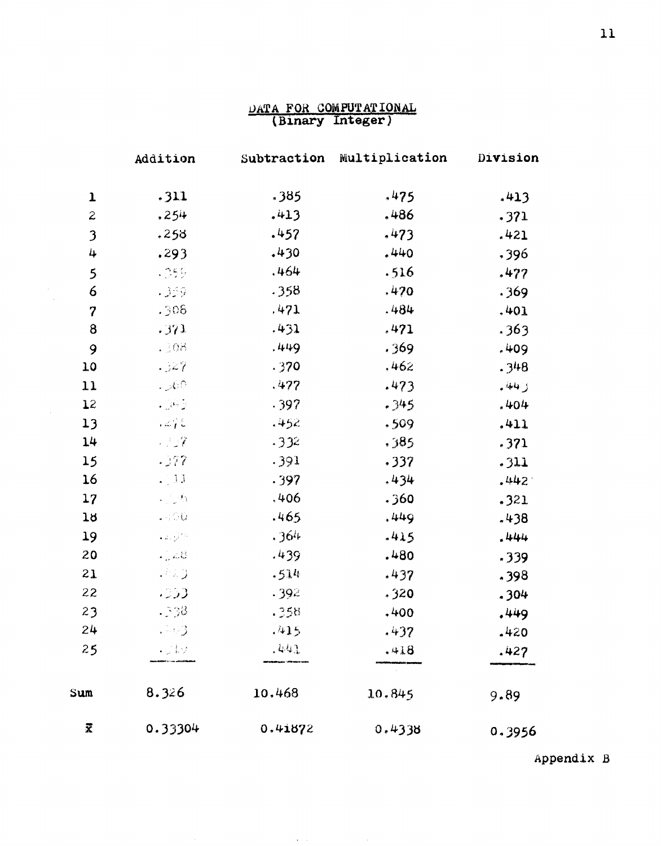# $\frac{\text{DATA FOR COMPUTATIONAL}}{\text{(Binary Integer)}}$

|                  | Addition                                                                  | Subtraction | Multiplication | Division |
|------------------|---------------------------------------------------------------------------|-------------|----------------|----------|
| $\mathbf{1}$     | .311                                                                      | .385        | .475           | .413     |
| $\mathbf{z}$     | .254                                                                      | .413        | .486           | .371     |
| 3                | .258                                                                      | .457        | .473           | .421     |
| 4                | .293                                                                      | .430        | .440           | .396     |
| 5                | $-359$                                                                    | .464        | .516           | .477     |
| 6                | - 359                                                                     | .358        | ,470           | .369     |
| $\boldsymbol{7}$ | .906                                                                      | ,471        | .484           | .401     |
| 8                | .371                                                                      | .431        | .471           | .363     |
| 9                | -308                                                                      | .449        | .369           | .409     |
| 10               | .327                                                                      | .370        | ,462           | .348     |
| 11               | . J60                                                                     | .477        | .473           | وملله    |
| 12               | $\mathcal{L}^{\text{L}}_{\text{c}}$ , $\mathcal{L}^{\text{L}}_{\text{c}}$ | .397        | .345           | .404     |
| 13               | .272                                                                      | .452        | .509           | .411     |
| 14               | 見立て                                                                       | .332        | ,385           | .371     |
| 15               | .177                                                                      | .391        | .337           | .311     |
| 16               | $-11$                                                                     | .397        | .434           | .442.    |
| 17               | $\mathcal{L} \subset \mathcal{H}$                                         | .406        | .360           | .321     |
| 18               | $\Box$ 0.0                                                                | .465        | .449           | .438     |
| 19               | $\sim 2\times 10^{10}$                                                    | .364        | $-415$         | .444     |
| 20               | $\Box$ and                                                                | .439        | .480           | .339     |
| 21               | .823                                                                      | .514        | .437           | .398     |
| 22               | .333                                                                      | .392        | .320           | .304     |
| 23               | - 38                                                                      | .358        | ,400           | .449     |
| 24               | $-23$                                                                     | .415        | .437           | $-420$   |
| 25               | ・じょう                                                                      | .441        | .418           | .427     |
| Sum              | 8.326                                                                     | 10.468      | 10.845         | 9.89     |
| X                | 0.33304                                                                   | 0.41872     | 0.4338         | 0.3956   |

Appendix B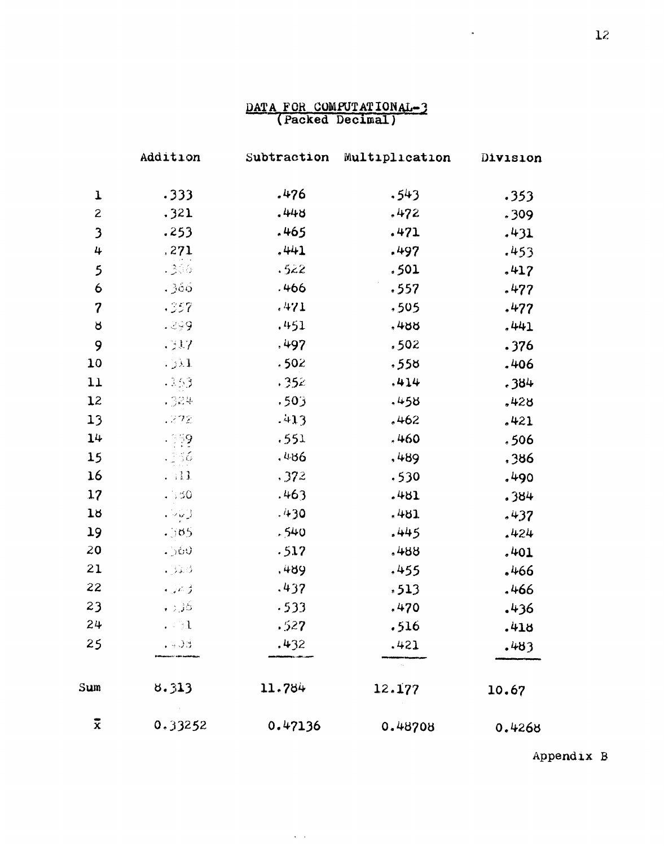### DATA FOR COMPUTATIONAL-3

|                         | Addition                                                                                               | Subtraction | Multiplication | Division |
|-------------------------|--------------------------------------------------------------------------------------------------------|-------------|----------------|----------|
| $\mathbf{I}$            | .333                                                                                                   | .476        | .543           | .353     |
| $\mathbf{z}$            | .321                                                                                                   | $-448$      | .472           | .309     |
| $\overline{\mathbf{3}}$ | .253                                                                                                   | .465        | .471           | .431     |
| 4                       | ,271                                                                                                   | ,441        | .497           | .453     |
| 5                       | .300                                                                                                   | .522        | .501           | .417     |
| 6                       | .366                                                                                                   | .466        | .557           | .477     |
| $\boldsymbol{7}$        | .357                                                                                                   | .471        | .505           | .477     |
| ŏ                       | - 299                                                                                                  | .451        | ,488           | .441     |
| 9                       | . 317                                                                                                  | .497        | ,502           | .376     |
| 10                      | $-13.1$                                                                                                | .502        | .558           | .406     |
| 11                      | .153                                                                                                   | .352        | ,414           | .384     |
| 12                      | .324                                                                                                   | .503        | .458           | .428     |
| 13                      | -272                                                                                                   | $-413$      | .462           | .421     |
| 14                      | $+159$                                                                                                 | .551        | .460           | .506     |
| 15                      | - 156                                                                                                  | .486        | ,489           | ,386     |
| 16                      | . 711                                                                                                  | ,372        | .530           | .490     |
| 17                      | .550                                                                                                   | .463        | .481           | .384     |
| 18                      | $\label{eq:3.1} \begin{array}{c} \mathbb{E}[\mathbb{E}[\mathbf{y}]\mathbb{E}[\mathbf{y}]] \end{array}$ | .430        | .481           | .437     |
| 19                      | .505                                                                                                   | .540        | .445           | .424     |
| 20                      | $.$ ) $60$                                                                                             | .517        | .488           | .401     |
| 21                      | $-33.3$                                                                                                | ,489        | .455           | .466     |
| 22                      | ۇ ئەر .                                                                                                | .437        | , 513          | .466     |
| 23                      | اقاتی را ا                                                                                             | .533        | .470           | .436     |
| 24                      | $\ldots \rightarrow 1$                                                                                 | .527        | .516           | .418     |
| 25                      | . 403                                                                                                  | .432        | .421           | .483     |
| Sum                     | 8.313                                                                                                  | 11.784      | 12.177         | 10.67    |
| $\boldsymbol{\ddot{x}}$ | 0.33252                                                                                                | 0.47136     | 0.48708        | 0.4268   |

**Contract Contract** 

Appendix B

 $\sigma_{\rm{max}}$  and  $\sigma_{\rm{max}}$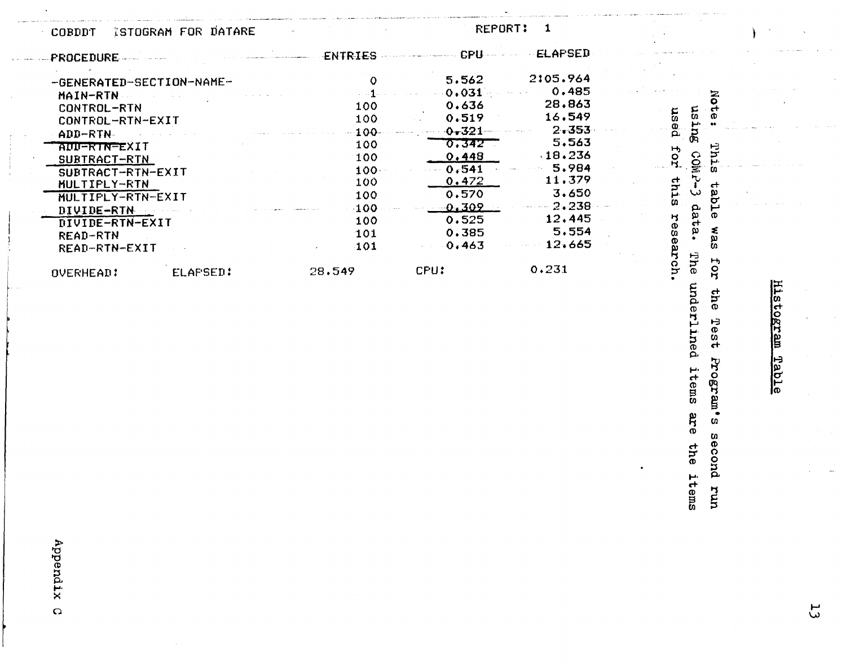| COBDDT | ISTOGRAM FOR DATARE |  |
|--------|---------------------|--|
|        |                     |  |

REPORT:  $\mathbf{1}$ 

| <b>PROCEDURE</b>                 |                 | ENTRIES | <b>CPU</b> | <b>ELAPSED</b> |  |
|----------------------------------|-----------------|---------|------------|----------------|--|
| -GENERATED-SECTION-NAME-         |                 | 0       | 5.562      | 2:05.964       |  |
| MAIN-RTN                         |                 |         | 0.031      | 0.485          |  |
| CONTROL-RTN                      |                 | 100     | 0.636      | 28.863         |  |
| CONTROL-RTN-EXIT                 |                 | 100     | 0.519      | 16.549         |  |
| ADD-RTN-                         |                 | 100     | $0 - 321$  | $2 - 353$      |  |
| AUU-RIN-EXIT                     |                 | 100     | 0.342      | 5,563          |  |
| SUBTRACT-RTN                     |                 | 100     | 0,448      | $-18.236$      |  |
| SUBTRACT-RTN-EXIT                |                 | 100.    | 0.541      | 5.984          |  |
| MULTIPLY-RTN                     |                 | 100     | 0.472      | 11.379         |  |
| MULTIPLY-RTN-EXIT                |                 | 100     | 0.570      | 3.650          |  |
|                                  |                 | 100     | 0.309      | 2,238          |  |
| DIVIDE-RTN                       |                 | 100     | 0.525      | 12,445         |  |
| DIVIDE-RTN-EXIT                  |                 | 101     | 0.385      | 5.554          |  |
| <b>READ-RTN</b><br>READ-RTN-EXIT |                 | 101     | 0.463      | 12,665         |  |
| OVERHEAD:                        | <b>ELAPSED:</b> | 28.549  | CPU:       | 0.231          |  |

Histogram Table

Note:

This

table was for

the Test

Program's

aecond run

using CoMP-3 data.

The underlined items are the items

used for

this research.